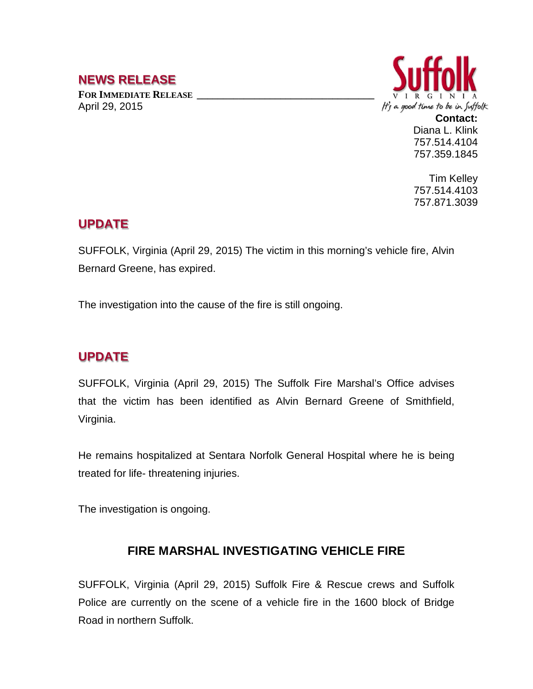## **NEWS RELEASE**

FOR **IMMEDIATE RELEASE** April 29, 2015



**Contact:** Diana L. Klink 757.514.4104 757.359.1845

Tim Kelley 757.514.4103 757.871.3039

## **UPDATE**

SUFFOLK, Virginia (April 29, 2015) The victim in this morning's vehicle fire, Alvin Bernard Greene, has expired.

The investigation into the cause of the fire is still ongoing.

## **UPDATE**

SUFFOLK, Virginia (April 29, 2015) The Suffolk Fire Marshal's Office advises that the victim has been identified as Alvin Bernard Greene of Smithfield, Virginia.

He remains hospitalized at Sentara Norfolk General Hospital where he is being treated for life- threatening injuries.

The investigation is ongoing.

## **FIRE MARSHAL INVESTIGATING VEHICLE FIRE**

SUFFOLK, Virginia (April 29, 2015) Suffolk Fire & Rescue crews and Suffolk Police are currently on the scene of a vehicle fire in the 1600 block of Bridge Road in northern Suffolk.